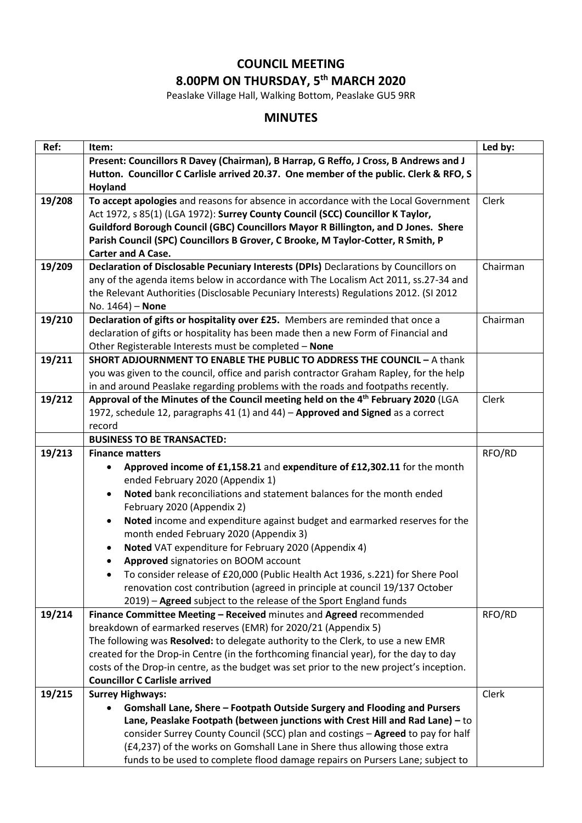## **COUNCIL MEETING 8.00PM ON THURSDAY, 5 th MARCH 2020**

Peaslake Village Hall, Walking Bottom, Peaslake GU5 9RR

## **MINUTES**

| Ref:   | Item:                                                                                                        | Led by:  |
|--------|--------------------------------------------------------------------------------------------------------------|----------|
|        | Present: Councillors R Davey (Chairman), B Harrap, G Reffo, J Cross, B Andrews and J                         |          |
|        | Hutton. Councillor C Carlisle arrived 20.37. One member of the public. Clerk & RFO, S                        |          |
|        | Hoyland                                                                                                      |          |
| 19/208 | To accept apologies and reasons for absence in accordance with the Local Government                          | Clerk    |
|        | Act 1972, s 85(1) (LGA 1972): Surrey County Council (SCC) Councillor K Taylor,                               |          |
|        | Guildford Borough Council (GBC) Councillors Mayor R Billington, and D Jones. Shere                           |          |
|        | Parish Council (SPC) Councillors B Grover, C Brooke, M Taylor-Cotter, R Smith, P                             |          |
|        | <b>Carter and A Case.</b>                                                                                    |          |
| 19/209 | Declaration of Disclosable Pecuniary Interests (DPIs) Declarations by Councillors on                         | Chairman |
|        | any of the agenda items below in accordance with The Localism Act 2011, ss.27-34 and                         |          |
|        | the Relevant Authorities (Disclosable Pecuniary Interests) Regulations 2012. (SI 2012                        |          |
|        | No. 1464) - None                                                                                             |          |
| 19/210 | Declaration of gifts or hospitality over £25. Members are reminded that once a                               | Chairman |
|        | declaration of gifts or hospitality has been made then a new Form of Financial and                           |          |
|        | Other Registerable Interests must be completed - None                                                        |          |
| 19/211 | <b>SHORT ADJOURNMENT TO ENABLE THE PUBLIC TO ADDRESS THE COUNCIL - A thank</b>                               |          |
|        | you was given to the council, office and parish contractor Graham Rapley, for the help                       |          |
|        | in and around Peaslake regarding problems with the roads and footpaths recently.                             |          |
| 19/212 | Approval of the Minutes of the Council meeting held on the 4th February 2020 (LGA                            | Clerk    |
|        | 1972, schedule 12, paragraphs 41 (1) and 44) - Approved and Signed as a correct                              |          |
|        | record<br><b>BUSINESS TO BE TRANSACTED:</b>                                                                  |          |
| 19/213 | <b>Finance matters</b>                                                                                       | RFO/RD   |
|        |                                                                                                              |          |
|        | Approved income of £1,158.21 and expenditure of £12,302.11 for the month<br>ended February 2020 (Appendix 1) |          |
|        | Noted bank reconciliations and statement balances for the month ended                                        |          |
|        | February 2020 (Appendix 2)                                                                                   |          |
|        | Noted income and expenditure against budget and earmarked reserves for the<br>$\bullet$                      |          |
|        | month ended February 2020 (Appendix 3)                                                                       |          |
|        | Noted VAT expenditure for February 2020 (Appendix 4)<br>٠                                                    |          |
|        | Approved signatories on BOOM account<br>٠                                                                    |          |
|        | To consider release of £20,000 (Public Health Act 1936, s.221) for Shere Pool                                |          |
|        | renovation cost contribution (agreed in principle at council 19/137 October                                  |          |
|        | 2019) - Agreed subject to the release of the Sport England funds                                             |          |
| 19/214 | Finance Committee Meeting - Received minutes and Agreed recommended                                          | RFO/RD   |
|        | breakdown of earmarked reserves (EMR) for 2020/21 (Appendix 5)                                               |          |
|        | The following was Resolved: to delegate authority to the Clerk, to use a new EMR                             |          |
|        | created for the Drop-in Centre (in the forthcoming financial year), for the day to day                       |          |
|        | costs of the Drop-in centre, as the budget was set prior to the new project's inception.                     |          |
|        | <b>Councillor C Carlisle arrived</b>                                                                         |          |
| 19/215 | <b>Surrey Highways:</b>                                                                                      | Clerk    |
|        | Gomshall Lane, Shere - Footpath Outside Surgery and Flooding and Pursers                                     |          |
|        | Lane, Peaslake Footpath (between junctions with Crest Hill and Rad Lane) - to                                |          |
|        | consider Surrey County Council (SCC) plan and costings - Agreed to pay for half                              |          |
|        | (£4,237) of the works on Gomshall Lane in Shere thus allowing those extra                                    |          |
|        | funds to be used to complete flood damage repairs on Pursers Lane; subject to                                |          |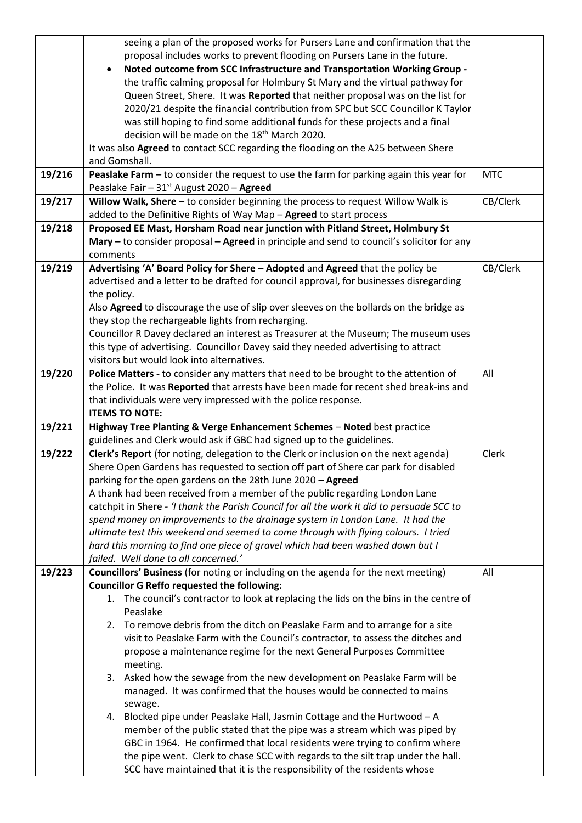|        | seeing a plan of the proposed works for Pursers Lane and confirmation that the             |            |
|--------|--------------------------------------------------------------------------------------------|------------|
|        | proposal includes works to prevent flooding on Pursers Lane in the future.                 |            |
|        | Noted outcome from SCC Infrastructure and Transportation Working Group -                   |            |
|        | the traffic calming proposal for Holmbury St Mary and the virtual pathway for              |            |
|        | Queen Street, Shere. It was Reported that neither proposal was on the list for             |            |
|        | 2020/21 despite the financial contribution from SPC but SCC Councillor K Taylor            |            |
|        | was still hoping to find some additional funds for these projects and a final              |            |
|        | decision will be made on the 18 <sup>th</sup> March 2020.                                  |            |
|        | It was also Agreed to contact SCC regarding the flooding on the A25 between Shere          |            |
|        | and Gomshall.                                                                              |            |
|        |                                                                                            |            |
| 19/216 | Peaslake Farm - to consider the request to use the farm for parking again this year for    | <b>MTC</b> |
|        | Peaslake Fair - 31 <sup>st</sup> August 2020 - Agreed                                      |            |
| 19/217 | Willow Walk, Shere - to consider beginning the process to request Willow Walk is           | CB/Clerk   |
|        | added to the Definitive Rights of Way Map - Agreed to start process                        |            |
| 19/218 | Proposed EE Mast, Horsham Road near junction with Pitland Street, Holmbury St              |            |
|        | Mary – to consider proposal – Agreed in principle and send to council's solicitor for any  |            |
|        | comments                                                                                   |            |
| 19/219 | Advertising 'A' Board Policy for Shere - Adopted and Agreed that the policy be             | CB/Clerk   |
|        | advertised and a letter to be drafted for council approval, for businesses disregarding    |            |
|        | the policy.                                                                                |            |
|        | Also Agreed to discourage the use of slip over sleeves on the bollards on the bridge as    |            |
|        | they stop the rechargeable lights from recharging.                                         |            |
|        | Councillor R Davey declared an interest as Treasurer at the Museum; The museum uses        |            |
|        | this type of advertising. Councillor Davey said they needed advertising to attract         |            |
|        | visitors but would look into alternatives.                                                 |            |
| 19/220 | Police Matters - to consider any matters that need to be brought to the attention of       | All        |
|        | the Police. It was Reported that arrests have been made for recent shed break-ins and      |            |
|        | that individuals were very impressed with the police response.                             |            |
|        |                                                                                            |            |
|        | <b>ITEMS TO NOTE:</b>                                                                      |            |
| 19/221 | Highway Tree Planting & Verge Enhancement Schemes - Noted best practice                    |            |
|        | guidelines and Clerk would ask if GBC had signed up to the guidelines.                     |            |
| 19/222 | Clerk's Report (for noting, delegation to the Clerk or inclusion on the next agenda)       | Clerk      |
|        | Shere Open Gardens has requested to section off part of Shere car park for disabled        |            |
|        | parking for the open gardens on the 28th June 2020 - Agreed                                |            |
|        | A thank had been received from a member of the public regarding London Lane                |            |
|        | catchpit in Shere - 'I thank the Parish Council for all the work it did to persuade SCC to |            |
|        | spend money on improvements to the drainage system in London Lane. It had the              |            |
|        | ultimate test this weekend and seemed to come through with flying colours. I tried         |            |
|        | hard this morning to find one piece of gravel which had been washed down but I             |            |
|        | failed. Well done to all concerned.'                                                       |            |
| 19/223 | Councillors' Business (for noting or including on the agenda for the next meeting)         | All        |
|        | <b>Councillor G Reffo requested the following:</b>                                         |            |
|        | 1. The council's contractor to look at replacing the lids on the bins in the centre of     |            |
|        | Peaslake                                                                                   |            |
|        | 2. To remove debris from the ditch on Peaslake Farm and to arrange for a site              |            |
|        | visit to Peaslake Farm with the Council's contractor, to assess the ditches and            |            |
|        | propose a maintenance regime for the next General Purposes Committee                       |            |
|        | meeting.                                                                                   |            |
|        | 3. Asked how the sewage from the new development on Peaslake Farm will be                  |            |
|        | managed. It was confirmed that the houses would be connected to mains                      |            |
|        | sewage.                                                                                    |            |
|        | 4. Blocked pipe under Peaslake Hall, Jasmin Cottage and the Hurtwood - A                   |            |
|        | member of the public stated that the pipe was a stream which was piped by                  |            |
|        | GBC in 1964. He confirmed that local residents were trying to confirm where                |            |
|        | the pipe went. Clerk to chase SCC with regards to the silt trap under the hall.            |            |